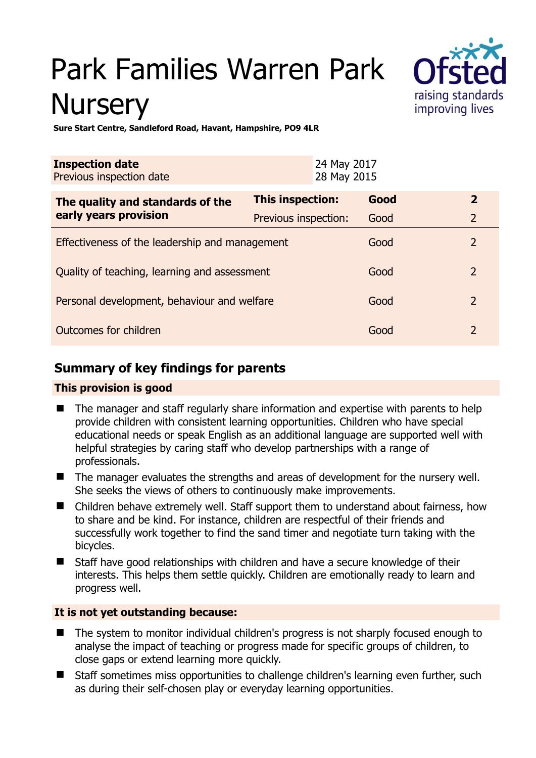# Park Families Warren Park **Nursery**



**Sure Start Centre, Sandleford Road, Havant, Hampshire, PO9 4LR** 

| <b>Inspection date</b><br>Previous inspection date |                         | 24 May 2017<br>28 May 2015 |                        |  |
|----------------------------------------------------|-------------------------|----------------------------|------------------------|--|
| The quality and standards of the                   | <b>This inspection:</b> | Good                       | $\mathbf{2}$           |  |
| early years provision                              | Previous inspection:    | Good                       | $\overline{2}$         |  |
| Effectiveness of the leadership and management     |                         |                            | $\overline{2}$<br>Good |  |
| Quality of teaching, learning and assessment       |                         |                            | $\overline{2}$<br>Good |  |
| Personal development, behaviour and welfare        |                         |                            | $\overline{2}$<br>Good |  |
| Outcomes for children                              |                         |                            | $\overline{2}$<br>Good |  |

## **Summary of key findings for parents**

#### **This provision is good**

- The manager and staff regularly share information and expertise with parents to help provide children with consistent learning opportunities. Children who have special educational needs or speak English as an additional language are supported well with helpful strategies by caring staff who develop partnerships with a range of professionals.
- The manager evaluates the strengths and areas of development for the nursery well. She seeks the views of others to continuously make improvements.
- Children behave extremely well. Staff support them to understand about fairness, how to share and be kind. For instance, children are respectful of their friends and successfully work together to find the sand timer and negotiate turn taking with the bicycles.
- Staff have good relationships with children and have a secure knowledge of their interests. This helps them settle quickly. Children are emotionally ready to learn and progress well.

#### **It is not yet outstanding because:**

- The system to monitor individual children's progress is not sharply focused enough to analyse the impact of teaching or progress made for specific groups of children, to close gaps or extend learning more quickly.
- Staff sometimes miss opportunities to challenge children's learning even further, such as during their self-chosen play or everyday learning opportunities.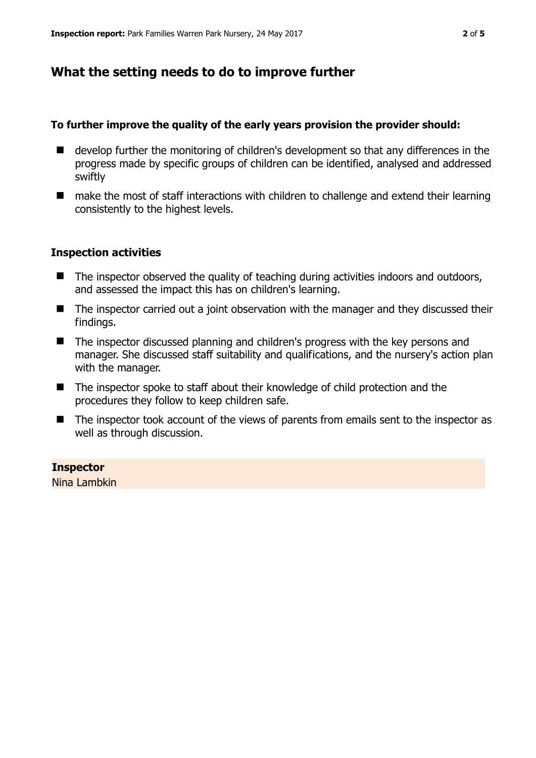### **What the setting needs to do to improve further**

#### **To further improve the quality of the early years provision the provider should:**

- develop further the monitoring of children's development so that any differences in the progress made by specific groups of children can be identified, analysed and addressed swiftly
- make the most of staff interactions with children to challenge and extend their learning consistently to the highest levels.

#### **Inspection activities**

- The inspector observed the quality of teaching during activities indoors and outdoors, and assessed the impact this has on children's learning.
- The inspector carried out a joint observation with the manager and they discussed their findings.
- The inspector discussed planning and children's progress with the key persons and manager. She discussed staff suitability and qualifications, and the nursery's action plan with the manager.
- The inspector spoke to staff about their knowledge of child protection and the procedures they follow to keep children safe.
- The inspector took account of the views of parents from emails sent to the inspector as well as through discussion.

#### **Inspector**

Nina Lambkin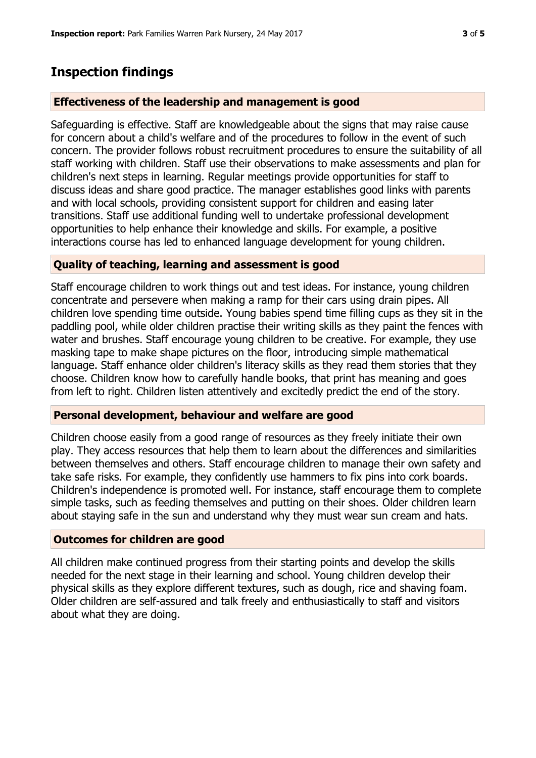# **Inspection findings**

#### **Effectiveness of the leadership and management is good**

Safeguarding is effective. Staff are knowledgeable about the signs that may raise cause for concern about a child's welfare and of the procedures to follow in the event of such concern. The provider follows robust recruitment procedures to ensure the suitability of all staff working with children. Staff use their observations to make assessments and plan for children's next steps in learning. Regular meetings provide opportunities for staff to discuss ideas and share good practice. The manager establishes good links with parents and with local schools, providing consistent support for children and easing later transitions. Staff use additional funding well to undertake professional development opportunities to help enhance their knowledge and skills. For example, a positive interactions course has led to enhanced language development for young children.

#### **Quality of teaching, learning and assessment is good**

Staff encourage children to work things out and test ideas. For instance, young children concentrate and persevere when making a ramp for their cars using drain pipes. All children love spending time outside. Young babies spend time filling cups as they sit in the paddling pool, while older children practise their writing skills as they paint the fences with water and brushes. Staff encourage young children to be creative. For example, they use masking tape to make shape pictures on the floor, introducing simple mathematical language. Staff enhance older children's literacy skills as they read them stories that they choose. Children know how to carefully handle books, that print has meaning and goes from left to right. Children listen attentively and excitedly predict the end of the story.

#### **Personal development, behaviour and welfare are good**

Children choose easily from a good range of resources as they freely initiate their own play. They access resources that help them to learn about the differences and similarities between themselves and others. Staff encourage children to manage their own safety and take safe risks. For example, they confidently use hammers to fix pins into cork boards. Children's independence is promoted well. For instance, staff encourage them to complete simple tasks, such as feeding themselves and putting on their shoes. Older children learn about staying safe in the sun and understand why they must wear sun cream and hats.

#### **Outcomes for children are good**

All children make continued progress from their starting points and develop the skills needed for the next stage in their learning and school. Young children develop their physical skills as they explore different textures, such as dough, rice and shaving foam. Older children are self-assured and talk freely and enthusiastically to staff and visitors about what they are doing.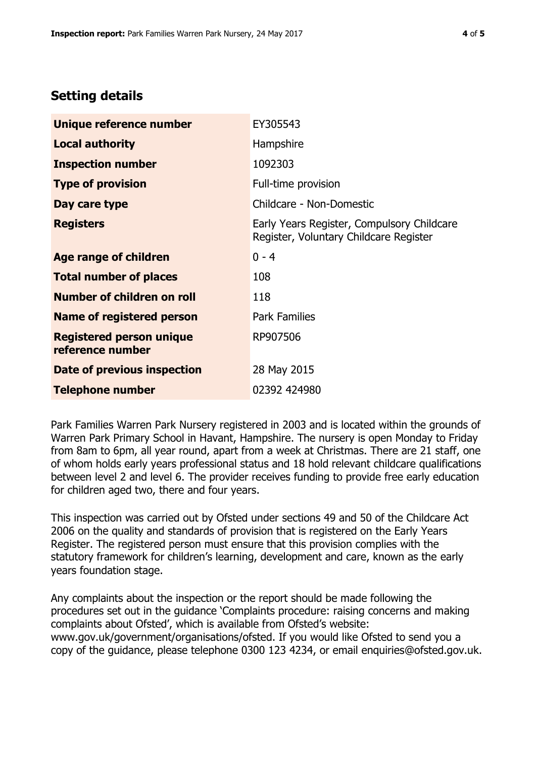## **Setting details**

| Unique reference number                             | EY305543                                                                             |  |
|-----------------------------------------------------|--------------------------------------------------------------------------------------|--|
| <b>Local authority</b>                              | Hampshire                                                                            |  |
| <b>Inspection number</b>                            | 1092303                                                                              |  |
| <b>Type of provision</b>                            | Full-time provision                                                                  |  |
| Day care type                                       | Childcare - Non-Domestic                                                             |  |
| <b>Registers</b>                                    | Early Years Register, Compulsory Childcare<br>Register, Voluntary Childcare Register |  |
| <b>Age range of children</b>                        | $0 - 4$                                                                              |  |
| <b>Total number of places</b>                       | 108                                                                                  |  |
| Number of children on roll                          | 118                                                                                  |  |
| Name of registered person                           | <b>Park Families</b>                                                                 |  |
| <b>Registered person unique</b><br>reference number | RP907506                                                                             |  |
| Date of previous inspection                         | 28 May 2015                                                                          |  |
| <b>Telephone number</b>                             | 02392 424980                                                                         |  |

Park Families Warren Park Nursery registered in 2003 and is located within the grounds of Warren Park Primary School in Havant, Hampshire. The nursery is open Monday to Friday from 8am to 6pm, all year round, apart from a week at Christmas. There are 21 staff, one of whom holds early years professional status and 18 hold relevant childcare qualifications between level 2 and level 6. The provider receives funding to provide free early education for children aged two, there and four years.

This inspection was carried out by Ofsted under sections 49 and 50 of the Childcare Act 2006 on the quality and standards of provision that is registered on the Early Years Register. The registered person must ensure that this provision complies with the statutory framework for children's learning, development and care, known as the early years foundation stage.

Any complaints about the inspection or the report should be made following the procedures set out in the guidance 'Complaints procedure: raising concerns and making complaints about Ofsted', which is available from Ofsted's website: www.gov.uk/government/organisations/ofsted. If you would like Ofsted to send you a copy of the guidance, please telephone 0300 123 4234, or email enquiries@ofsted.gov.uk.